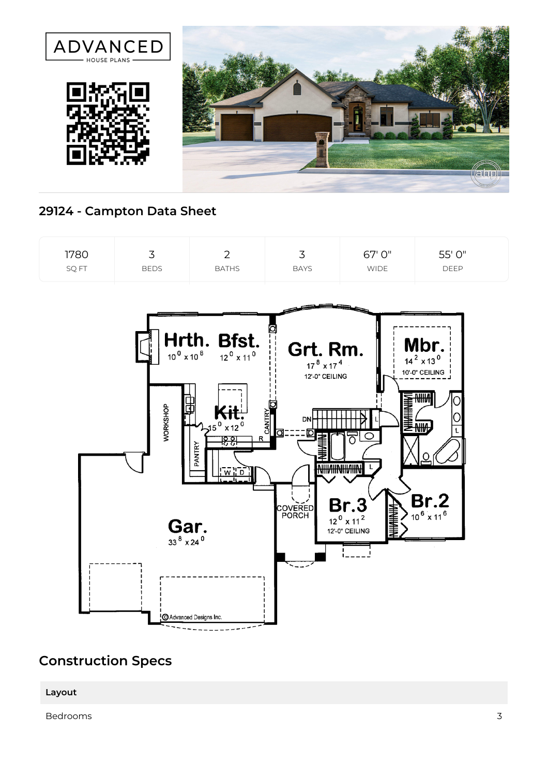

## **29124 - Campton Data Sheet**



## **Construction Specs**

**Layout**

Bedrooms 3